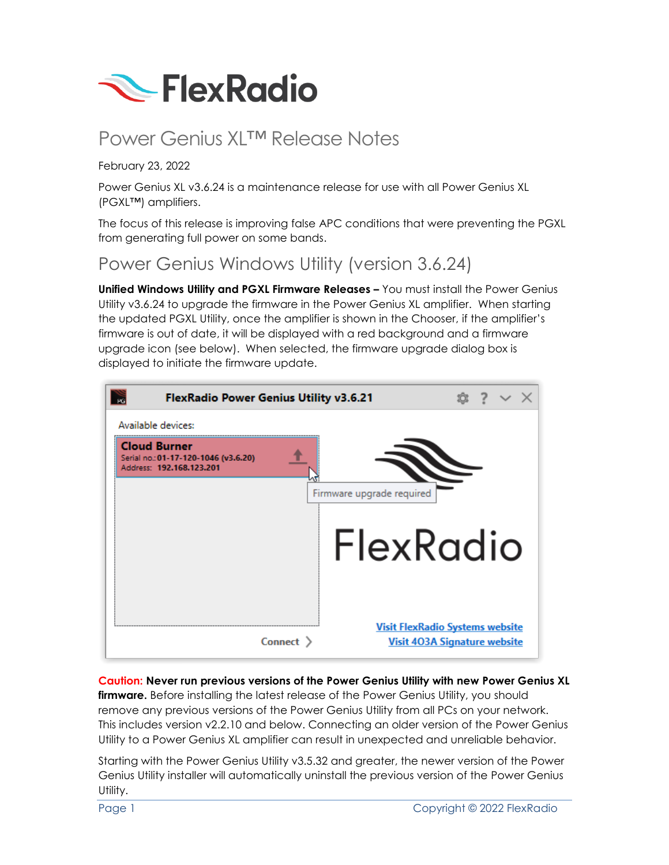

# Power Genius XL™ Release Notes

#### February 23, 2022

Power Genius XL v3.6.24 is a maintenance release for use with all Power Genius XL (PGXL™) amplifiers.

The focus of this release is improving false APC conditions that were preventing the PGXL from generating full power on some bands.

#### Power Genius Windows Utility (version 3.6.24)

**Unified Windows Utility and PGXL Firmware Releases –** You must install the Power Genius Utility v3.6.24 to upgrade the firmware in the Power Genius XL amplifier. When starting the updated PGXL Utility, once the amplifier is shown in the Chooser, if the amplifier's firmware is out of date, it will be displayed with a red background and a firmware upgrade icon (see below). When selected, the firmware upgrade dialog box is displayed to initiate the firmware update.



**Caution: Never run previous versions of the Power Genius Utility with new Power Genius XL firmware.** Before installing the latest release of the Power Genius Utility, you should remove any previous versions of the Power Genius Utility from all PCs on your network. This includes version v2.2.10 and below. Connecting an older version of the Power Genius Utility to a Power Genius XL amplifier can result in unexpected and unreliable behavior.

Starting with the Power Genius Utility v3.5.32 and greater, the newer version of the Power Genius Utility installer will automatically uninstall the previous version of the Power Genius Utility.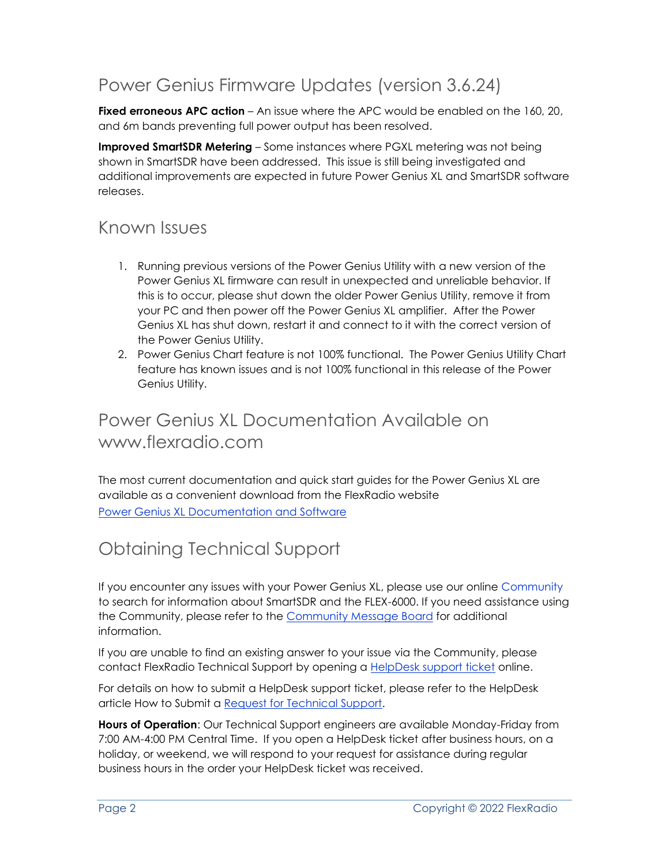# Power Genius Firmware Updates (version 3.6.24)

**Fixed erroneous APC action** – An issue where the APC would be enabled on the 160, 20. and 6m bands preventing full power output has been resolved.

**Improved SmartSDR Metering** – Some instances where PGXL metering was not being shown in SmartSDR have been addressed. This issue is still being investigated and additional improvements are expected in future Power Genius XL and SmartSDR software releases.

### Known Issues

- 1. Running previous versions of the Power Genius Utility with a new version of the Power Genius XL firmware can result in unexpected and unreliable behavior. If this is to occur, please shut down the older Power Genius Utility, remove it from your PC and then power off the Power Genius XL amplifier. After the Power Genius XL has shut down, restart it and connect to it with the correct version of the Power Genius Utility.
- 2. Power Genius Chart feature is not 100% functional. The Power Genius Utility Chart feature has known issues and is not 100% functional in this release of the Power Genius Utility.

## Power Genius XL Documentation Available on www.flexradio.com

The most current documentation and quick start guides for the Power Genius XL are available as a convenient download from the FlexRadio website [Power Genius XL Documentation and Software](https://www.flexradio.com/category/power-genius-xl/)

## Obtaining Technical Support

If you encounter any issues with your Power Genius XL, please use our online Community to search for information about SmartSDR and the FLEX-6000. If you need assistance using the Community, please refer to the [Community Message Board](https://community.flexradio.com/categories/message-board) for additional information.

If you are unable to find an existing answer to your issue via the Community, please contact FlexRadio Technical Support by opening a [HelpDesk support ticket](https://helpdesk.flexradio.com/hc/en-us/requests/new) online.

For details on how to submit a HelpDesk support ticket, please refer to the HelpDesk article How to Submit a [Request for Technical Support.](https://helpdesk.flexradio.com/hc/en-us/articles/202118688-How-to-Submit-a-Request-for-Technical-Support)

**Hours of Operation**: Our Technical Support engineers are available Monday-Friday from 7:00 AM-4:00 PM Central Time. If you open a HelpDesk ticket after business hours, on a holiday, or weekend, we will respond to your request for assistance during regular business hours in the order your HelpDesk ticket was received.